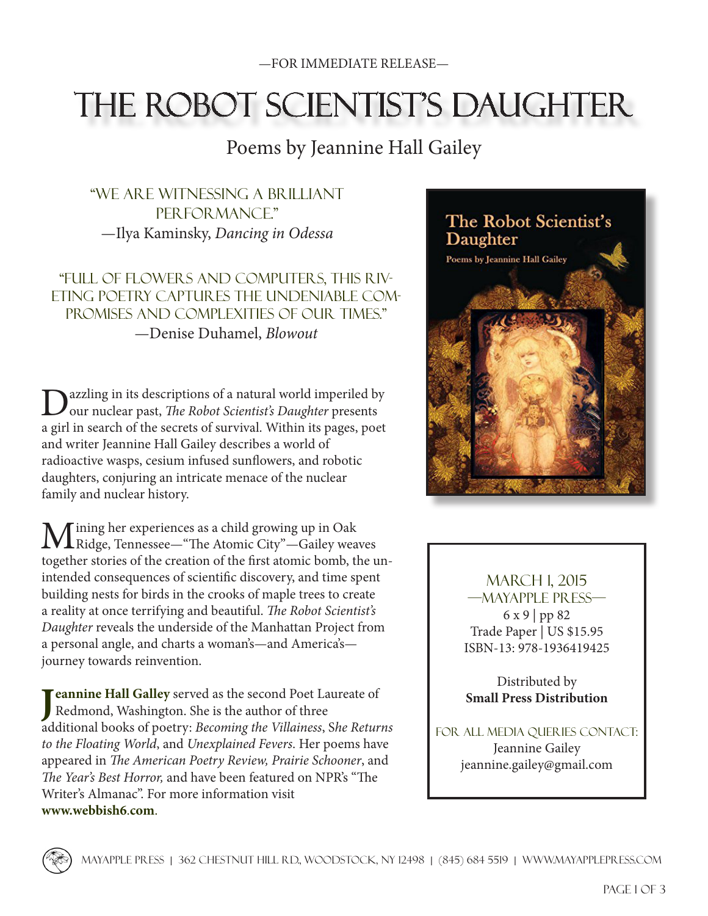## THE ROBOT SCIENTIST'S DAUGHTER

### Poems by Jeannine Hall Gailey

"We are witnessing a brilliant PER FOR MANCE." —Ilya Kaminsky, *Dancing in Odessa*

"Full of flowers and computers, this riveting poetry captures the undeniable compromises and complexities of our times." —Denise Duhamel, *Blowout*

Dazzling in its descriptions of a natural world imperiled by our nuclear past, *The Robot Scientist's Daughter* presents a girl in search of the secrets of survival. Within its pages, poet and writer Jeannine Hall Gailey describes a world of radioactive wasps, cesium infused sunflowers, and robotic daughters, conjuring an intricate menace of the nuclear family and nuclear history.

Mining her experiences as a child growing up in Oak<br>
Ridge, Tennessee—"The Atomic City"—Gailey weaves together stories of the creation of the first atomic bomb, the unintended consequences of scientific discovery, and time spent building nests for birds in the crooks of maple trees to create a reality at once terrifying and beautiful. *The Robot Scientist's Daughter* reveals the underside of the Manhattan Project from a personal angle, and charts a woman's—and America's journey towards reinvention.

**[J](http://www.webbish6.com) [eannine Hall Galley](http://www.webbish6.com)** served as the second Poet Laureate of Redmond, Washington. She is the author of three additional books of poetry: *Becoming the Villainess*, S*he Returns to the Floating World*, and *Unexplained Fevers*. Her poems have appeared in *The American Poetry Review, Prairie Schooner*, and *The Year's Best Horror,* and have been featured on NPR's "The Writer's Almanac". For more information visit **[www.webbish6](http://www.webbish6.com/)**.**com**.



March 1, 2015 —Mayapple Press— 6 x 9 | pp 82 Trade Paper | US \$15.95 ISBN-13: 978-1936419425

Distributed by **[Small Press Distribution](http://www.spdbooks.org/)**

For all media queries contact: Jeannine Gailey jeannine.gailey@gmail.com

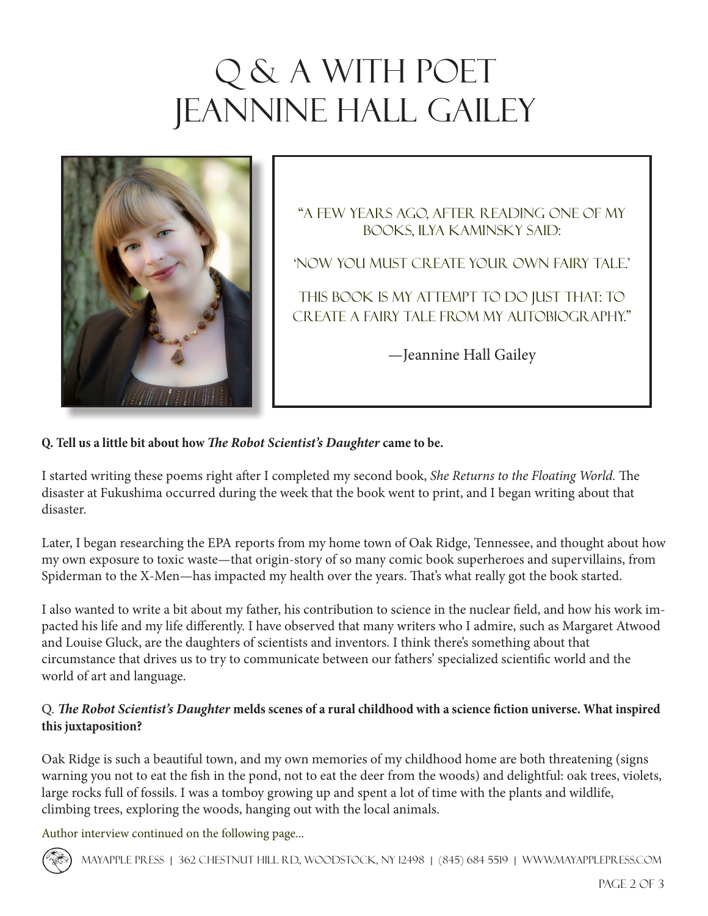# Q & A WITH POET **JEANNINE HALL GAILEY**



"A few years ago, after reading one of my books, Ilya Kaminsky said:

'Now you must create your own fairy tale.'

This book is my attempt to do just that: to create a fairy tale from my autobiography."

—Jeannine Hall Gailey

#### **Q. Tell us a little bit about how** *The Robot Scientist's Daughter* **came to be.**

I started writing these poems right after I completed my second book, *She Returns to the Floating World.* The disaster at Fukushima occurred during the week that the book went to print, and I began writing about that disaster.

Later, I began researching the EPA reports from my home town of Oak Ridge, Tennessee, and thought about how my own exposure to toxic waste—that origin-story of so many comic book superheroes and supervillains, from Spiderman to the X-Men—has impacted my health over the years. That's what really got the book started.

I also wanted to write a bit about my father, his contribution to science in the nuclear field, and how his work impacted his life and my life differently. I have observed that many writers who I admire, such as Margaret Atwood and Louise Gluck, are the daughters of scientists and inventors. I think there's something about that circumstance that drives us to try to communicate between our fathers' specialized scientific world and the world of art and language.

#### Q. *The Robot Scientist's Daughter* **melds scenes of a rural childhood with a science fiction universe. What inspired this juxtaposition?**

Oak Ridge is such a beautiful town, and my own memories of my childhood home are both threatening (signs warning you not to eat the fish in the pond, not to eat the deer from the woods) and delightful: oak trees, violets, large rocks full of fossils. I was a tomboy growing up and spent a lot of time with the plants and wildlife, climbing trees, exploring the woods, hanging out with the local animals.

Author interview continued on the following page...



Mayapple Press | 362 Chestnut Hill Rd., Woodstock, NY 12498 | (845) 684 5519 | [www.mayapplepress.com](http://mayapplepress.com/)